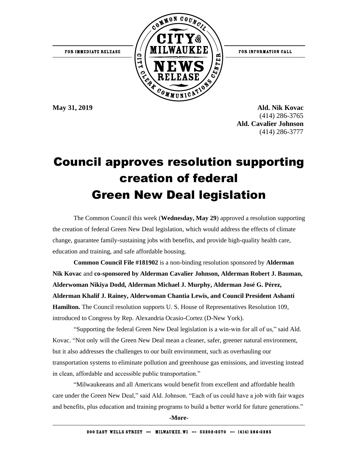

**May 31, 2019 Ald. Nik Kovac** (414) 286-3765  **Ald. Cavalier Johnson** (414) 286-3777

## Council approves resolution supporting creation of federal Green New Deal legislation

The Common Council this week (**Wednesday, May 29**) approved a resolution supporting the creation of federal Green New Deal legislation, which would address the effects of climate change, guarantee family-sustaining jobs with benefits, and provide high-quality health care, education and training, and safe affordable housing.

**Common Council File #181902** is a non-binding resolution sponsored by **Alderman Nik Kovac** and **co-sponsored by Alderman Cavalier Johnson, Alderman Robert J. Bauman, Alderwoman Nikiya Dodd, Alderman Michael J. Murphy, Alderman José G. Pérez, Alderman Khalif J. Rainey, Alderwoman Chantia Lewis, and Council President Ashanti Hamilton.** The Council resolution supports U. S. House of Representatives Resolution 109, introduced to Congress by Rep. Alexandria Ocasio-Cortez (D-New York).

"Supporting the federal Green New Deal legislation is a win-win for all of us," said Ald. Kovac. "Not only will the Green New Deal mean a cleaner, safer, greener natural environment, but it also addresses the challenges to our built environment, such as overhauling our transportation systems to eliminate pollution and greenhouse gas emissions, and investing instead in clean, affordable and accessible public transportation."

"Milwaukeeans and all Americans would benefit from excellent and affordable health care under the Green New Deal," said Ald. Johnson. "Each of us could have a job with fair wages and benefits, plus education and training programs to build a better world for future generations."

**-More-**